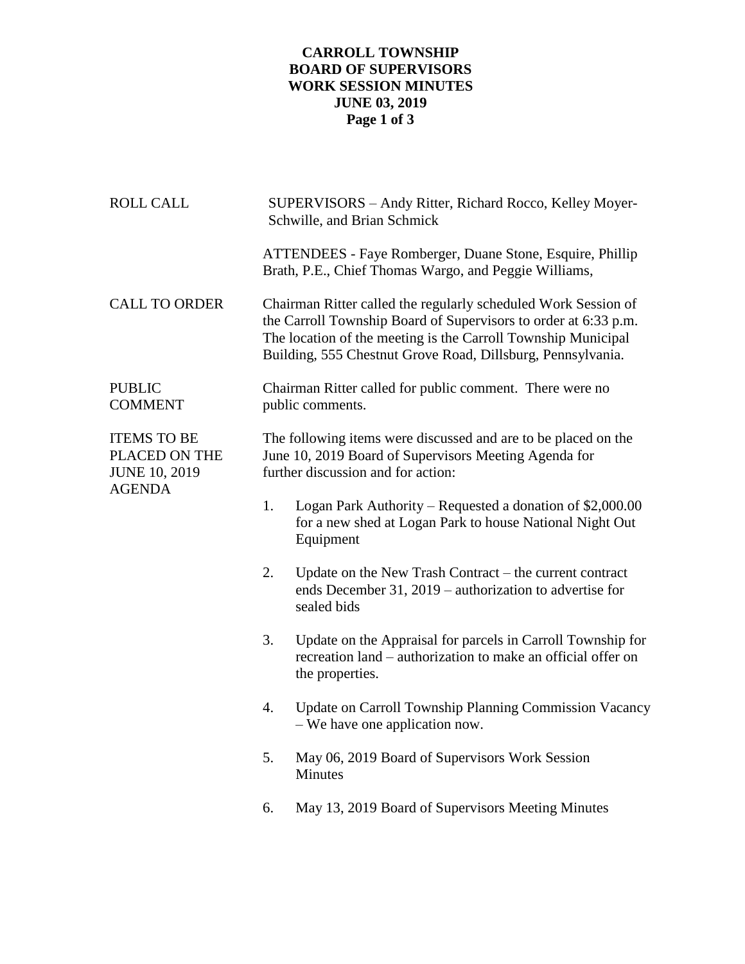## **CARROLL TOWNSHIP BOARD OF SUPERVISORS WORK SESSION MINUTES JUNE 03, 2019 Page 1 of 3**

| <b>ROLL CALL</b>                                                             |                                                                              | SUPERVISORS - Andy Ritter, Richard Rocco, Kelley Moyer-<br>Schwille, and Brian Schmick                                                                                                                                                                            |  |
|------------------------------------------------------------------------------|------------------------------------------------------------------------------|-------------------------------------------------------------------------------------------------------------------------------------------------------------------------------------------------------------------------------------------------------------------|--|
|                                                                              |                                                                              | ATTENDEES - Faye Romberger, Duane Stone, Esquire, Phillip<br>Brath, P.E., Chief Thomas Wargo, and Peggie Williams,                                                                                                                                                |  |
| <b>CALL TO ORDER</b>                                                         |                                                                              | Chairman Ritter called the regularly scheduled Work Session of<br>the Carroll Township Board of Supervisors to order at 6:33 p.m.<br>The location of the meeting is the Carroll Township Municipal<br>Building, 555 Chestnut Grove Road, Dillsburg, Pennsylvania. |  |
| <b>PUBLIC</b><br><b>COMMENT</b>                                              | Chairman Ritter called for public comment. There were no<br>public comments. |                                                                                                                                                                                                                                                                   |  |
| <b>ITEMS TO BE</b><br>PLACED ON THE<br><b>JUNE 10, 2019</b><br><b>AGENDA</b> |                                                                              | The following items were discussed and are to be placed on the<br>June 10, 2019 Board of Supervisors Meeting Agenda for<br>further discussion and for action:                                                                                                     |  |
|                                                                              | 1.                                                                           | Logan Park Authority – Requested a donation of \$2,000.00<br>for a new shed at Logan Park to house National Night Out<br>Equipment                                                                                                                                |  |
|                                                                              | 2.                                                                           | Update on the New Trash Contract - the current contract<br>ends December 31, 2019 – authorization to advertise for<br>sealed bids                                                                                                                                 |  |
|                                                                              | 3.                                                                           | Update on the Appraisal for parcels in Carroll Township for<br>recreation land – authorization to make an official offer on<br>the properties.                                                                                                                    |  |
|                                                                              | 4.                                                                           | Update on Carroll Township Planning Commission Vacancy<br>- We have one application now.                                                                                                                                                                          |  |
|                                                                              | 5.                                                                           | May 06, 2019 Board of Supervisors Work Session<br><b>Minutes</b>                                                                                                                                                                                                  |  |
|                                                                              | 6.                                                                           | May 13, 2019 Board of Supervisors Meeting Minutes                                                                                                                                                                                                                 |  |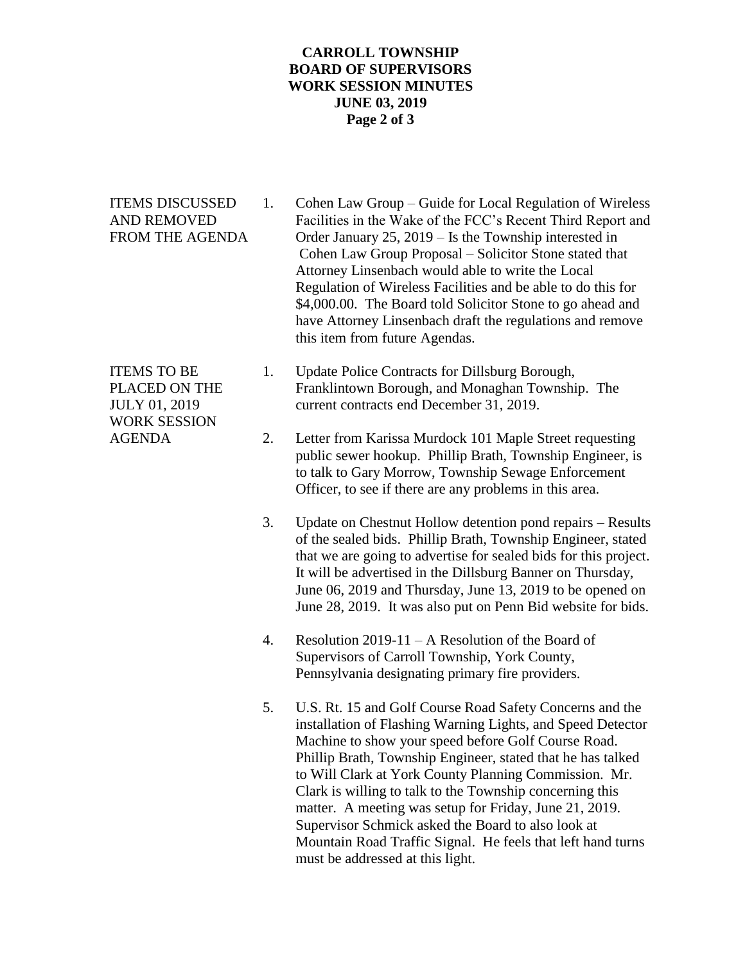## **CARROLL TOWNSHIP BOARD OF SUPERVISORS WORK SESSION MINUTES JUNE 03, 2019 Page 2 of 3**

WORK SESSION

- ITEMS DISCUSSED 1. Cohen Law Group Guide for Local Regulation of Wireless AND REMOVED Facilities in the Wake of the FCC's Recent Third Report and FROM THE AGENDA Order January 25, 2019 – Is the Township interested in Cohen Law Group Proposal – Solicitor Stone stated that Attorney Linsenbach would able to write the Local Regulation of Wireless Facilities and be able to do this for \$4,000.00. The Board told Solicitor Stone to go ahead and have Attorney Linsenbach draft the regulations and remove this item from future Agendas.
- ITEMS TO BE 1. Update Police Contracts for Dillsburg Borough, PLACED ON THE Franklintown Borough, and Monaghan Township. The JULY 01, 2019 current contracts end December 31, 2019.
- AGENDA 2. Letter from Karissa Murdock 101 Maple Street requesting public sewer hookup. Phillip Brath, Township Engineer, is to talk to Gary Morrow, Township Sewage Enforcement Officer, to see if there are any problems in this area.
	- 3. Update on Chestnut Hollow detention pond repairs Results of the sealed bids. Phillip Brath, Township Engineer, stated that we are going to advertise for sealed bids for this project. It will be advertised in the Dillsburg Banner on Thursday, June 06, 2019 and Thursday, June 13, 2019 to be opened on June 28, 2019. It was also put on Penn Bid website for bids.
	- 4. Resolution 2019-11 A Resolution of the Board of Supervisors of Carroll Township, York County, Pennsylvania designating primary fire providers.
	- 5. U.S. Rt. 15 and Golf Course Road Safety Concerns and the installation of Flashing Warning Lights, and Speed Detector Machine to show your speed before Golf Course Road. Phillip Brath, Township Engineer, stated that he has talked to Will Clark at York County Planning Commission. Mr. Clark is willing to talk to the Township concerning this matter. A meeting was setup for Friday, June 21, 2019. Supervisor Schmick asked the Board to also look at Mountain Road Traffic Signal. He feels that left hand turns must be addressed at this light.